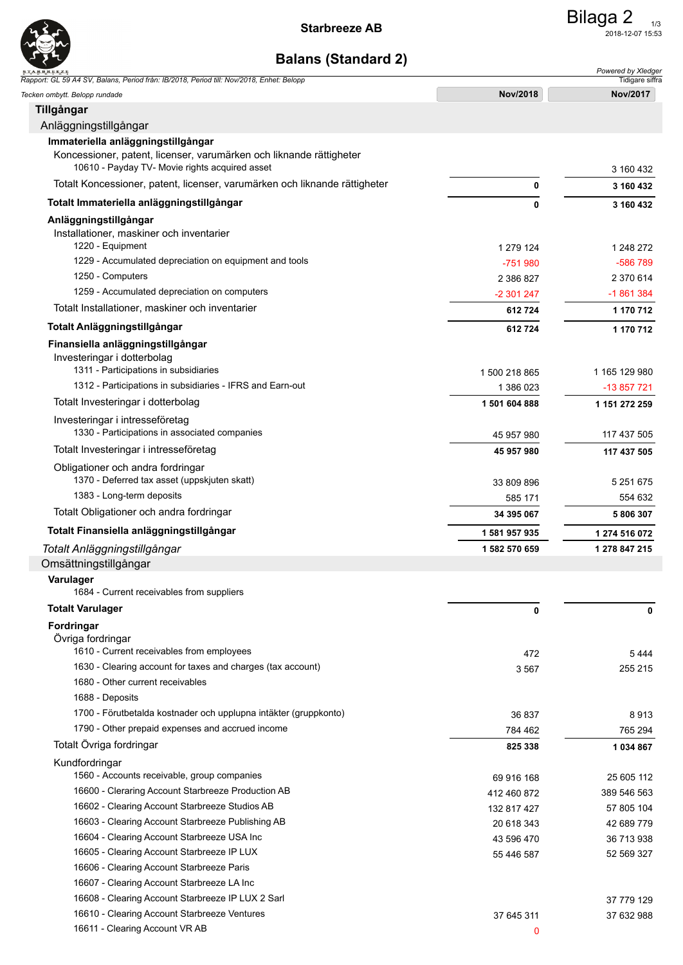

| <b>STARBREEZE</b><br>Rapport: GL 59 A4 SV, Balans, Period från: IB/2018, Period till: Nov/2018, Enhet: Belopp |                      | Powered by Xledger<br>Tidigare siffra |
|---------------------------------------------------------------------------------------------------------------|----------------------|---------------------------------------|
| Tecken ombytt. Belopp rundade                                                                                 | Nov/2018             | Nov/2017                              |
| Tillgångar                                                                                                    |                      |                                       |
| Anläggningstillgångar                                                                                         |                      |                                       |
| Immateriella anläggningstillgångar                                                                            |                      |                                       |
| Koncessioner, patent, licenser, varumärken och liknande rättigheter                                           |                      |                                       |
| 10610 - Payday TV- Movie rights acquired asset                                                                |                      | 3 160 432                             |
| Totalt Koncessioner, patent, licenser, varumärken och liknande rättigheter                                    | 0                    | 3 160 432                             |
| Totalt Immateriella anläggningstillgångar                                                                     | 0                    | 3 160 432                             |
| Anläggningstillgångar                                                                                         |                      |                                       |
| Installationer, maskiner och inventarier                                                                      |                      |                                       |
| 1220 - Equipment<br>1229 - Accumulated depreciation on equipment and tools                                    | 1 279 124            | 1 248 272                             |
| 1250 - Computers                                                                                              | -751 980             | -586 789                              |
| 1259 - Accumulated depreciation on computers                                                                  | 2 386 827            | 2 370 614<br>-1 861 384               |
| Totalt Installationer, maskiner och inventarier                                                               | -2 301 247<br>612724 | 1 170 712                             |
|                                                                                                               |                      |                                       |
| Totalt Anläggningstillgångar                                                                                  | 612724               | 1 170 712                             |
| Finansiella anläggningstillgångar<br>Investeringar i dotterbolag                                              |                      |                                       |
| 1311 - Participations in subsidiaries                                                                         | 1 500 218 865        | 1 165 129 980                         |
| 1312 - Participations in subsidiaries - IFRS and Earn-out                                                     | 1 386 023            | -13 857 721                           |
| Totalt Investeringar i dotterbolag                                                                            | 1 501 604 888        | 1 151 272 259                         |
| Investeringar i intresseföretag                                                                               |                      |                                       |
| 1330 - Participations in associated companies                                                                 | 45 957 980           | 117 437 505                           |
| Totalt Investeringar i intresseföretag                                                                        | 45 957 980           | 117 437 505                           |
| Obligationer och andra fordringar                                                                             |                      |                                       |
| 1370 - Deferred tax asset (uppskjuten skatt)                                                                  | 33 809 896           | 5 2 5 1 6 7 5                         |
| 1383 - Long-term deposits                                                                                     | 585 171              | 554 632                               |
| Totalt Obligationer och andra fordringar                                                                      | 34 395 067           | 5806307                               |
| Totalt Finansiella anläggningstillgångar                                                                      | 1 581 957 935        | 1 274 516 072                         |
| Totalt Anläggningstillgångar                                                                                  | 1 582 570 659        | 1 278 847 215                         |
| Omsättningstillgångar                                                                                         |                      |                                       |
| Varulager                                                                                                     |                      |                                       |
| 1684 - Current receivables from suppliers                                                                     |                      |                                       |
| <b>Totalt Varulager</b>                                                                                       | 0                    | 0                                     |
| Fordringar                                                                                                    |                      |                                       |
| Övriga fordringar<br>1610 - Current receivables from employees                                                | 472                  | 5444                                  |
| 1630 - Clearing account for taxes and charges (tax account)                                                   | 3 5 6 7              | 255 215                               |
| 1680 - Other current receivables                                                                              |                      |                                       |
| 1688 - Deposits                                                                                               |                      |                                       |
| 1700 - Förutbetalda kostnader och upplupna intäkter (gruppkonto)                                              | 36 837               | 8913                                  |
| 1790 - Other prepaid expenses and accrued income                                                              | 784 462              | 765 294                               |
| Totalt Övriga fordringar                                                                                      | 825 338              | 1 034 867                             |
| Kundfordringar                                                                                                |                      |                                       |
| 1560 - Accounts receivable, group companies                                                                   | 69 916 168           | 25 605 112                            |
| 16600 - Cleraring Account Starbreeze Production AB                                                            | 412 460 872          | 389 546 563                           |
| 16602 - Clearing Account Starbreeze Studios AB                                                                | 132 817 427          | 57 805 104                            |
| 16603 - Clearing Account Starbreeze Publishing AB                                                             | 20 618 343           | 42 689 779                            |
| 16604 - Clearing Account Starbreeze USA Inc                                                                   | 43 596 470           | 36 713 938                            |
| 16605 - Clearing Account Starbreeze IP LUX                                                                    | 55 446 587           | 52 569 327                            |
| 16606 - Clearing Account Starbreeze Paris<br>16607 - Clearing Account Starbreeze LA Inc                       |                      |                                       |
| 16608 - Clearing Account Starbreeze IP LUX 2 Sarl                                                             |                      |                                       |
| 16610 - Clearing Account Starbreeze Ventures                                                                  |                      | 37 779 129                            |
| 16611 - Clearing Account VR AB                                                                                | 37 645 311<br>0      | 37 632 988                            |
|                                                                                                               |                      |                                       |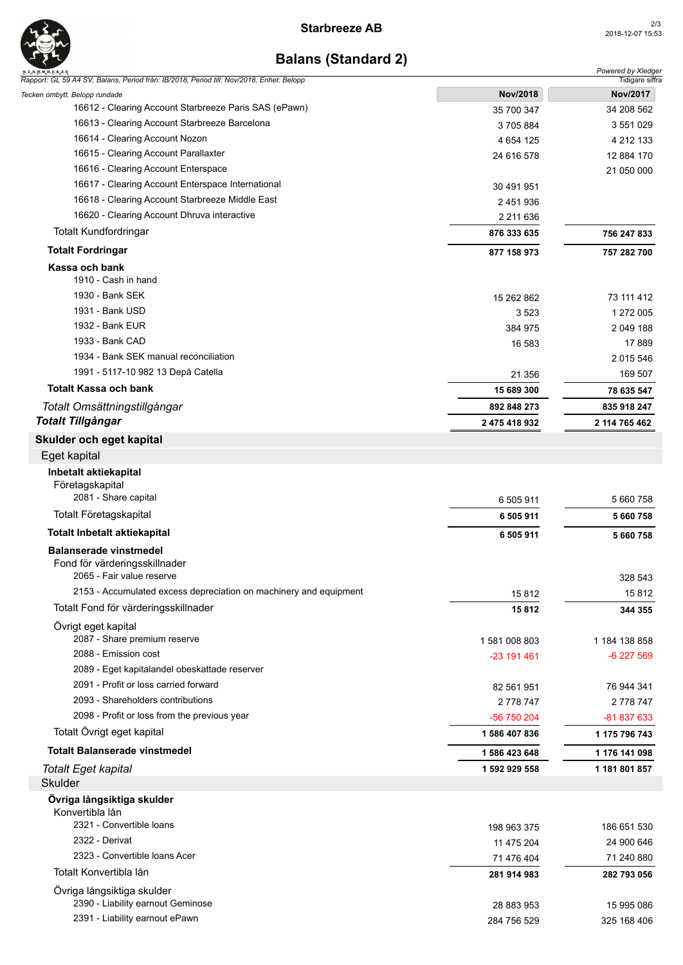

| <b>STARBREEZE</b>                                                                                                         |               | Powered by Xledger                 |
|---------------------------------------------------------------------------------------------------------------------------|---------------|------------------------------------|
| Rapport: GL 59 A4 SV, Balans, Period från: IB/2018, Period till: Nov/2018, Enhet: Belopp<br>Tecken ombytt. Belopp rundade | Nov/2018      | Tidigare siffra<br><b>Nov/2017</b> |
| 16612 - Clearing Account Starbreeze Paris SAS (ePawn)                                                                     | 35 700 347    | 34 208 562                         |
| 16613 - Clearing Account Starbreeze Barcelona                                                                             | 3705884       | 3 551 029                          |
| 16614 - Clearing Account Nozon                                                                                            | 4 654 125     | 4 212 133                          |
| 16615 - Clearing Account Parallaxter                                                                                      | 24 616 578    | 12 884 170                         |
| 16616 - Clearing Account Enterspace                                                                                       |               | 21 050 000                         |
| 16617 - Clearing Account Enterspace International                                                                         | 30 491 951    |                                    |
| 16618 - Clearing Account Starbreeze Middle East                                                                           | 2 451 936     |                                    |
| 16620 - Clearing Account Dhruva interactive                                                                               | 2 2 11 6 3 6  |                                    |
| <b>Totalt Kundfordringar</b>                                                                                              | 876 333 635   | 756 247 833                        |
| <b>Totalt Fordringar</b>                                                                                                  | 877 158 973   | 757 282 700                        |
| Kassa och bank                                                                                                            |               |                                    |
| 1910 - Cash in hand                                                                                                       |               |                                    |
| 1930 - Bank SEK                                                                                                           | 15 262 862    | 73 111 412                         |
| 1931 - Bank USD                                                                                                           | 3523          | 1 272 005                          |
| 1932 - Bank EUR                                                                                                           | 384 975       | 2 049 188                          |
| 1933 - Bank CAD                                                                                                           | 16 583        | 17889                              |
| 1934 - Bank SEK manual reconciliation                                                                                     |               | 2 015 546                          |
| 1991 - 5117-10 982 13 Depå Catella                                                                                        | 21 356        | 169 507                            |
| <b>Totalt Kassa och bank</b>                                                                                              | 15 689 300    | 78 635 547                         |
| Totalt Omsättningstillgångar                                                                                              | 892 848 273   | 835 918 247                        |
| <b>Totalt Tillgångar</b>                                                                                                  | 2 475 418 932 | 2 114 765 462                      |
| Skulder och eget kapital                                                                                                  |               |                                    |
| Eget kapital                                                                                                              |               |                                    |
| Inbetalt aktiekapital                                                                                                     |               |                                    |
| Företagskapital                                                                                                           |               |                                    |
| 2081 - Share capital                                                                                                      | 6 505 911     | 5 660 758                          |
| Totalt Företagskapital                                                                                                    | 6 505 911     | 5 660 758                          |
| <b>Totalt Inbetalt aktiekapital</b>                                                                                       | 6 505 911     | 5 660 758                          |
| <b>Balanserade vinstmedel</b><br>Fond för värderingsskillnader                                                            |               |                                    |
| 2065 - Fair value reserve                                                                                                 |               | 328 543                            |
| 2153 - Accumulated excess depreciation on machinery and equipment                                                         | 15812         | 15812                              |
| Totalt Fond för värderingsskillnader                                                                                      | 15812         | 344 355                            |
| Övrigt eget kapital<br>2087 - Share premium reserve                                                                       | 1581008803    | 1 184 138 858                      |
| 2088 - Emission cost                                                                                                      | -23 191 461   | -6 227 569                         |
| 2089 - Eget kapitalandel obeskattade reserver                                                                             |               |                                    |
| 2091 - Profit or loss carried forward                                                                                     | 82 561 951    | 76 944 341                         |
| 2093 - Shareholders contributions                                                                                         | 2 778 747     | 2 778 747                          |
| 2098 - Profit or loss from the previous year                                                                              | -56 750 204   | -81 837 633                        |
| Totalt Övrigt eget kapital                                                                                                | 1 586 407 836 | 1 175 796 743                      |
| <b>Totalt Balanserade vinstmedel</b>                                                                                      | 1 586 423 648 | 1 176 141 098                      |
| Totalt Eget kapital                                                                                                       | 1 592 929 558 | 1 181 801 857                      |
| <b>Skulder</b>                                                                                                            |               |                                    |
| Övriga långsiktiga skulder                                                                                                |               |                                    |
| Konvertibla lån                                                                                                           |               |                                    |
| 2321 - Convertible Ioans                                                                                                  | 198 963 375   | 186 651 530                        |
| 2322 - Derivat                                                                                                            | 11 475 204    | 24 900 646                         |
| 2323 - Convertible Ioans Acer                                                                                             | 71 476 404    | 71 240 880                         |
| Totalt Konvertibla lån                                                                                                    | 281 914 983   | 282 793 056                        |
| Övriga långsiktiga skulder                                                                                                |               |                                    |
| 2390 - Liability earnout Geminose                                                                                         | 28 883 953    | 15 995 086                         |
| 2391 - Liability earnout ePawn                                                                                            | 284 756 529   | 325 168 406                        |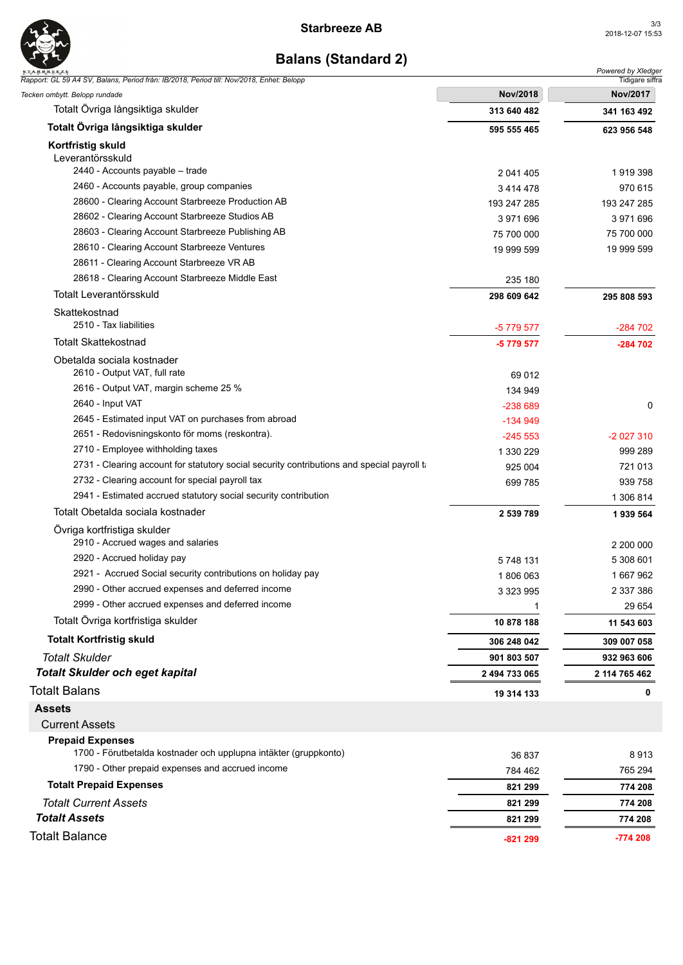

| <b>STARBREEZE</b><br>Rapport: GL 59 A4 SV, Balans, Period från: IB/2018, Period till: Nov/2018, Enhet: Belopp |               | Powered by Xledger<br>Tidigare siffra |
|---------------------------------------------------------------------------------------------------------------|---------------|---------------------------------------|
| Tecken ombytt. Belopp rundade                                                                                 | Nov/2018      | Nov/2017                              |
| Totalt Ovriga långsiktiga skulder                                                                             | 313 640 482   | 341 163 492                           |
| Totalt Övriga långsiktiga skulder                                                                             | 595 555 465   | 623 956 548                           |
| Kortfristig skuld                                                                                             |               |                                       |
| Leverantörsskuld                                                                                              |               |                                       |
| 2440 - Accounts payable - trade                                                                               | 2 041 405     | 1919398                               |
| 2460 - Accounts payable, group companies                                                                      | 3 4 1 4 4 7 8 | 970 615                               |
| 28600 - Clearing Account Starbreeze Production AB                                                             | 193 247 285   | 193 247 285                           |
| 28602 - Clearing Account Starbreeze Studios AB                                                                | 3 971 696     | 3 971 696                             |
| 28603 - Clearing Account Starbreeze Publishing AB                                                             | 75 700 000    | 75 700 000                            |
| 28610 - Clearing Account Starbreeze Ventures                                                                  | 19 999 599    | 19 999 599                            |
| 28611 - Clearing Account Starbreeze VR AB                                                                     |               |                                       |
| 28618 - Clearing Account Starbreeze Middle East                                                               | 235 180       |                                       |
| Totalt Leverantörsskuld                                                                                       | 298 609 642   | 295 808 593                           |
| Skattekostnad                                                                                                 |               |                                       |
| 2510 - Tax liabilities                                                                                        | -5 779 577    | -284 702                              |
| <b>Totalt Skattekostnad</b>                                                                                   | -5779 577     | -284 702                              |
| Obetalda sociala kostnader                                                                                    |               |                                       |
| 2610 - Output VAT, full rate                                                                                  | 69 012        |                                       |
| 2616 - Output VAT, margin scheme 25 %                                                                         | 134 949       |                                       |
| 2640 - Input VAT                                                                                              | $-238689$     | 0                                     |
| 2645 - Estimated input VAT on purchases from abroad                                                           | $-134949$     |                                       |
| 2651 - Redovisningskonto för moms (reskontra).                                                                | $-245553$     | -2 027 310                            |
| 2710 - Employee withholding taxes                                                                             | 1 330 229     | 999 289                               |
| 2731 - Clearing account for statutory social security contributions and special payroll to                    | 925 004       | 721 013                               |
| 2732 - Clearing account for special payroll tax                                                               | 699 785       | 939 758                               |
| 2941 - Estimated accrued statutory social security contribution                                               |               | 1 306 814                             |
| Totalt Obetalda sociala kostnader                                                                             | 2 539 789     | 1939 564                              |
| Ovriga kortfristiga skulder                                                                                   |               |                                       |
| 2910 - Accrued wages and salaries                                                                             |               | 2 200 000                             |
| 2920 - Accrued holiday pay                                                                                    | 5748131       | 5 308 601                             |
| 2921 - Accrued Social security contributions on holiday pay                                                   | 1806063       | 1 667 962                             |
| 2990 - Other accrued expenses and deferred income<br>2999 - Other accrued expenses and deferred income        | 3 3 2 3 9 9 5 | 2 337 386                             |
|                                                                                                               |               | 29 654                                |
| Totalt Övriga kortfristiga skulder                                                                            | 10 878 188    | 11 543 603                            |
| <b>Totalt Kortfristig skuld</b>                                                                               | 306 248 042   | 309 007 058                           |
| <b>Totalt Skulder</b>                                                                                         | 901 803 507   | 932 963 606                           |
| <b>Totalt Skulder och eget kapital</b>                                                                        | 2 494 733 065 | 2 114 765 462                         |
| <b>Totalt Balans</b>                                                                                          | 19 314 133    | 0                                     |
| <b>Assets</b>                                                                                                 |               |                                       |
| <b>Current Assets</b>                                                                                         |               |                                       |
| <b>Prepaid Expenses</b>                                                                                       |               |                                       |
| 1700 - Förutbetalda kostnader och upplupna intäkter (gruppkonto)                                              | 36 837        | 8913                                  |
| 1790 - Other prepaid expenses and accrued income                                                              | 784 462       | 765 294                               |
| <b>Totalt Prepaid Expenses</b>                                                                                | 821 299       | 774 208                               |
| <b>Totalt Current Assets</b>                                                                                  | 821 299       | 774 208                               |
| <b>Totalt Assets</b>                                                                                          | 821 299       | 774 208                               |
| <b>Totalt Balance</b>                                                                                         | $-821299$     | -774 208                              |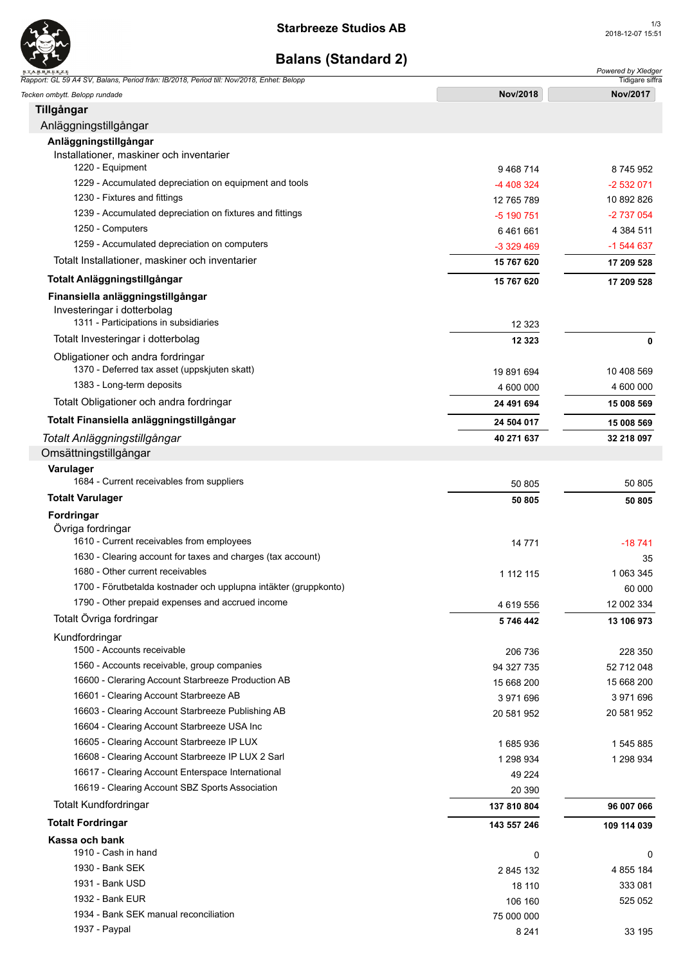

| <b>STARBREEZE</b><br>Rapport: GL 59 A4 SV, Balans, Period från: IB/2018, Period till: Nov/2018, Enhet: Belopp |             | Powered by Xledger<br>Tidigare siffra |
|---------------------------------------------------------------------------------------------------------------|-------------|---------------------------------------|
| Tecken ombytt. Belopp rundade                                                                                 | Nov/2018    | Nov/2017                              |
| Tillgångar                                                                                                    |             |                                       |
| Anläggningstillgångar                                                                                         |             |                                       |
| Anläggningstillgångar                                                                                         |             |                                       |
| Installationer, maskiner och inventarier                                                                      |             |                                       |
| 1220 - Equipment                                                                                              | 9468714     | 8745952                               |
| 1229 - Accumulated depreciation on equipment and tools                                                        | -4 408 324  | -2 532 071                            |
| 1230 - Fixtures and fittings                                                                                  | 12 765 789  | 10 892 826                            |
| 1239 - Accumulated depreciation on fixtures and fittings                                                      | $-5190751$  | -2 737 054                            |
| 1250 - Computers                                                                                              | 6461661     | 4 384 511                             |
| 1259 - Accumulated depreciation on computers                                                                  | -3 329 469  | $-1544637$                            |
| Totalt Installationer, maskiner och inventarier                                                               | 15 767 620  | 17 209 528                            |
| Totalt Anläggningstillgångar                                                                                  | 15 767 620  | 17 209 528                            |
| Finansiella anläggningstillgångar<br>Investeringar i dotterbolag                                              |             |                                       |
| 1311 - Participations in subsidiaries                                                                         | 12 3 23     |                                       |
| Totalt Investeringar i dotterbolag                                                                            | 12 3 23     | 0                                     |
| Obligationer och andra fordringar                                                                             |             |                                       |
| 1370 - Deferred tax asset (uppskjuten skatt)                                                                  | 19 891 694  | 10 408 569                            |
| 1383 - Long-term deposits                                                                                     | 4 600 000   | 4 600 000                             |
| Totalt Obligationer och andra fordringar                                                                      | 24 491 694  | 15 008 569                            |
| Totalt Finansiella anläggningstillgångar                                                                      | 24 504 017  | 15 008 569                            |
| Totalt Anläggningstillgångar                                                                                  | 40 271 637  | 32 218 097                            |
| Omsättningstillgångar                                                                                         |             |                                       |
| Varulager                                                                                                     |             |                                       |
| 1684 - Current receivables from suppliers                                                                     | 50 805      | 50 805                                |
| <b>Totalt Varulager</b>                                                                                       | 50 805      | 50 805                                |
| <b>Fordringar</b>                                                                                             |             |                                       |
| Övriga fordringar                                                                                             |             |                                       |
| 1610 - Current receivables from employees                                                                     | 14 771      | $-18741$                              |
| 1630 - Clearing account for taxes and charges (tax account)                                                   |             | 35                                    |
| 1680 - Other current receivables                                                                              | 1 112 115   | 1 063 345                             |
| 1700 - Förutbetalda kostnader och upplupna intäkter (gruppkonto)                                              |             | 60 000                                |
| 1790 - Other prepaid expenses and accrued income                                                              | 4 619 556   | 12 002 334                            |
| Totalt Övriga fordringar                                                                                      | 5746442     | 13 106 973                            |
| Kundfordringar                                                                                                |             |                                       |
| 1500 - Accounts receivable                                                                                    | 206 736     | 228 350                               |
| 1560 - Accounts receivable, group companies                                                                   | 94 327 735  | 52 712 048                            |
| 16600 - Cleraring Account Starbreeze Production AB                                                            | 15 668 200  | 15 668 200                            |
| 16601 - Clearing Account Starbreeze AB                                                                        | 3 971 696   | 3 971 696                             |
| 16603 - Clearing Account Starbreeze Publishing AB                                                             | 20 581 952  | 20 581 952                            |
| 16604 - Clearing Account Starbreeze USA Inc                                                                   |             |                                       |
| 16605 - Clearing Account Starbreeze IP LUX                                                                    | 1685936     | 1 545 885                             |
| 16608 - Clearing Account Starbreeze IP LUX 2 Sarl                                                             | 1 298 934   | 1 298 934                             |
| 16617 - Clearing Account Enterspace International                                                             | 49 224      |                                       |
| 16619 - Clearing Account SBZ Sports Association                                                               | 20 390      |                                       |
| Totalt Kundfordringar                                                                                         | 137 810 804 | 96 007 066                            |
| <b>Totalt Fordringar</b>                                                                                      | 143 557 246 | 109 114 039                           |
| Kassa och bank                                                                                                |             |                                       |
| 1910 - Cash in hand                                                                                           | 0           | 0                                     |
| 1930 - Bank SEK                                                                                               | 2 845 132   | 4 855 184                             |
| 1931 - Bank USD                                                                                               | 18 110      | 333 081                               |
| 1932 - Bank EUR                                                                                               | 106 160     | 525 052                               |
| 1934 - Bank SEK manual reconciliation                                                                         | 75 000 000  |                                       |
| 1937 - Paypal                                                                                                 | 8 2 4 1     | 33 195                                |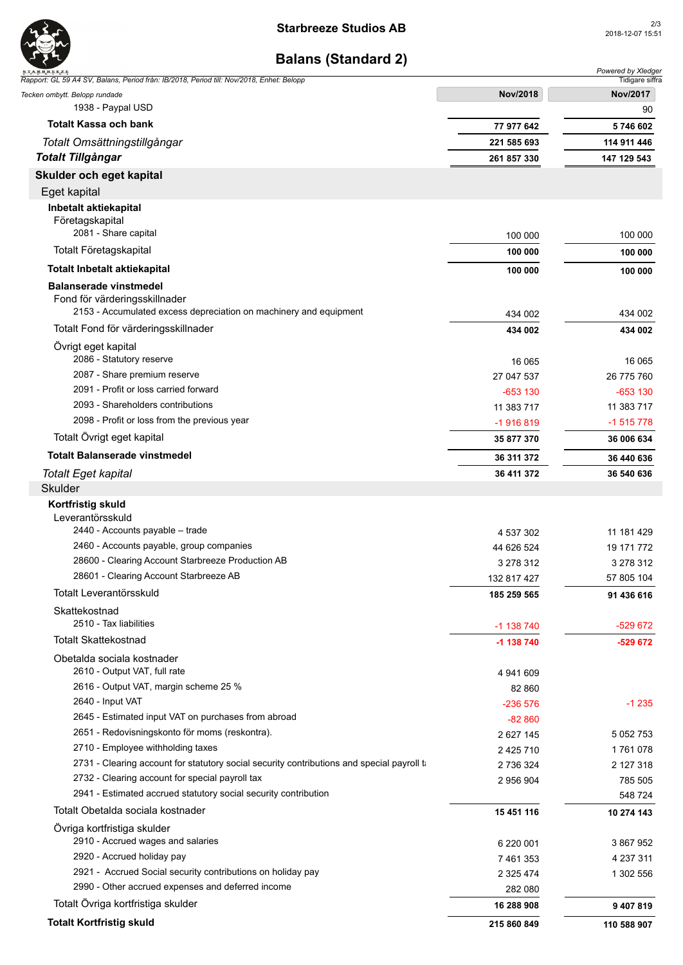

| <b>STARBREEZE</b><br>Rapport: GL 59 A4 SV, Balans, Period från: IB/2018, Period till: Nov/2018, Enhet: Belopp |                            | Powered by Xledger<br>Tidigare siffra |
|---------------------------------------------------------------------------------------------------------------|----------------------------|---------------------------------------|
| Tecken ombytt. Belopp rundade                                                                                 | <b>Nov/2018</b>            | Nov/2017                              |
| 1938 - Paypal USD                                                                                             |                            | 90                                    |
| <b>Totalt Kassa och bank</b>                                                                                  | 77 977 642                 | 5746602                               |
| Totalt Omsättningstillgångar                                                                                  | 221 585 693                | 114 911 446                           |
| <b>Totalt Tillgångar</b>                                                                                      | 261 857 330                | 147 129 543                           |
| Skulder och eget kapital                                                                                      |                            |                                       |
| Eget kapital                                                                                                  |                            |                                       |
| Inbetalt aktiekapital                                                                                         |                            |                                       |
| Företagskapital<br>2081 - Share capital                                                                       |                            |                                       |
|                                                                                                               | 100 000                    | 100 000                               |
| Totalt Företagskapital                                                                                        | 100 000                    | 100 000                               |
| <b>Totalt Inbetalt aktiekapital</b>                                                                           | 100 000                    | 100 000                               |
| <b>Balanserade vinstmedel</b>                                                                                 |                            |                                       |
| Fond för värderingsskillnader<br>2153 - Accumulated excess depreciation on machinery and equipment            | 434 002                    | 434 002                               |
| Totalt Fond för värderingsskillnader                                                                          | 434 002                    | 434 002                               |
| Övrigt eget kapital                                                                                           |                            |                                       |
| 2086 - Statutory reserve                                                                                      | 16 065                     | 16 065                                |
| 2087 - Share premium reserve                                                                                  | 27 047 537                 | 26 775 760                            |
| 2091 - Profit or loss carried forward                                                                         | $-653$ 130                 | $-653$ 130                            |
| 2093 - Shareholders contributions                                                                             | 11 383 717                 | 11 383 717                            |
| 2098 - Profit or loss from the previous year                                                                  | $-1916819$                 | $-1515778$                            |
| Totalt Övrigt eget kapital                                                                                    | 35 877 370                 | 36 006 634                            |
| <b>Totalt Balanserade vinstmedel</b>                                                                          | 36 311 372                 | 36 440 636                            |
| <b>Totalt Eget kapital</b>                                                                                    | 36 411 372                 | 36 540 636                            |
| <b>Skulder</b>                                                                                                |                            |                                       |
| Kortfristig skuld                                                                                             |                            |                                       |
| Leverantörsskuld<br>2440 - Accounts payable - trade                                                           |                            |                                       |
| 2460 - Accounts payable, group companies                                                                      | 4 537 302                  | 11 181 429                            |
| 28600 - Clearing Account Starbreeze Production AB                                                             | 44 626 524<br>3 278 312    | 19 171 772<br>3 278 312               |
| 28601 - Clearing Account Starbreeze AB                                                                        | 132 817 427                | 57 805 104                            |
| Totalt Leverantörsskuld                                                                                       | 185 259 565                | 91 436 616                            |
| Skattekostnad                                                                                                 |                            |                                       |
| 2510 - Tax liabilities                                                                                        | -1 138 740                 | -529 672                              |
| <b>Totalt Skattekostnad</b>                                                                                   | -1 138 740                 | -529 672                              |
| Obetalda sociala kostnader                                                                                    |                            |                                       |
| 2610 - Output VAT, full rate                                                                                  | 4 941 609                  |                                       |
| 2616 - Output VAT, margin scheme 25 %                                                                         | 82 860                     |                                       |
| 2640 - Input VAT                                                                                              | -236 576                   | $-1235$                               |
| 2645 - Estimated input VAT on purchases from abroad                                                           | $-82860$                   |                                       |
| 2651 - Redovisningskonto för moms (reskontra).                                                                | 2 627 145                  | 5 0 5 2 7 5 3                         |
| 2710 - Employee withholding taxes                                                                             | 2 4 2 5 7 1 0              | 1761078                               |
| 2731 - Clearing account for statutory social security contributions and special payroll to                    | 2 736 324                  | 2 127 318                             |
| 2732 - Clearing account for special payroll tax                                                               | 2 956 904                  | 785 505                               |
| 2941 - Estimated accrued statutory social security contribution                                               |                            | 548 724                               |
| Totalt Obetalda sociala kostnader                                                                             | 15 451 116                 | 10 274 143                            |
| Övriga kortfristiga skulder<br>2910 - Accrued wages and salaries                                              |                            |                                       |
| 2920 - Accrued holiday pay                                                                                    | 6 220 001                  | 3 867 952<br>4 237 311                |
| 2921 - Accrued Social security contributions on holiday pay                                                   | 7 461 353<br>2 3 2 5 4 7 4 | 1 302 556                             |
| 2990 - Other accrued expenses and deferred income                                                             | 282 080                    |                                       |
| Totalt Övriga kortfristiga skulder                                                                            | 16 288 908                 | 9 407 819                             |
| <b>Totalt Kortfristig skuld</b>                                                                               |                            |                                       |
|                                                                                                               | 215 860 849                | 110 588 907                           |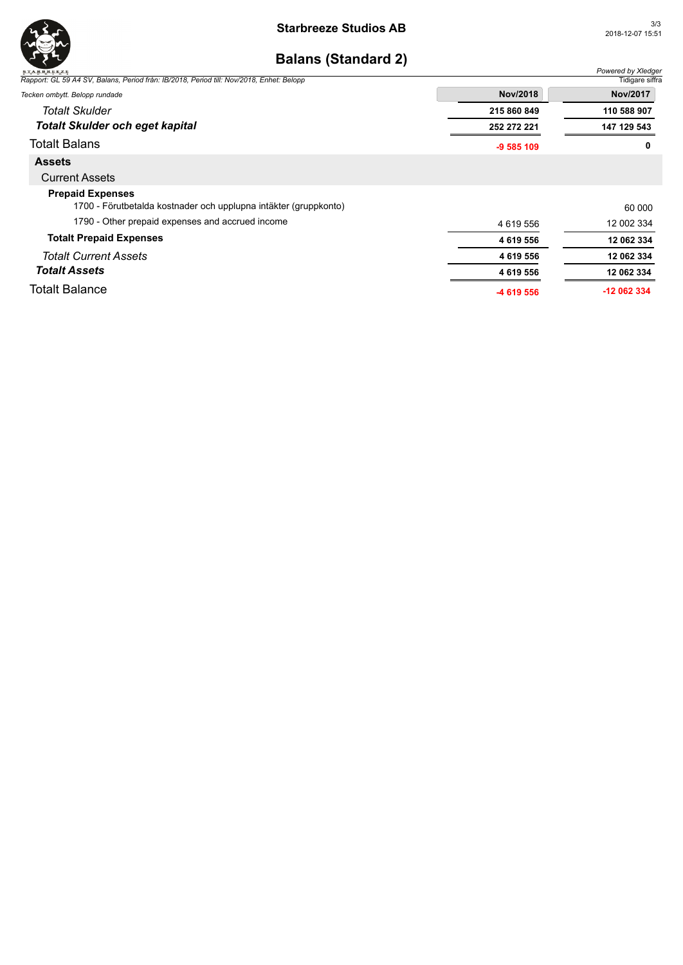

#### **Starbreeze Studios AB**

| <b>STARBREEZE</b>                                                                        |             | Powered by Xledger |
|------------------------------------------------------------------------------------------|-------------|--------------------|
| Rapport: GL 59 A4 SV, Balans, Period från: IB/2018, Period till: Nov/2018, Enhet: Belopp |             | Tidigare siffra    |
| Tecken ombytt. Belopp rundade                                                            | Nov/2018    | <b>Nov/2017</b>    |
| <b>Totalt Skulder</b>                                                                    | 215 860 849 | 110 588 907        |
| <b>Totalt Skulder och eget kapital</b>                                                   | 252 272 221 | 147 129 543        |
| <b>Totalt Balans</b>                                                                     | $-9585109$  | 0                  |
| <b>Assets</b>                                                                            |             |                    |
| <b>Current Assets</b>                                                                    |             |                    |
| <b>Prepaid Expenses</b>                                                                  |             |                    |
| 1700 - Förutbetalda kostnader och upplupna intäkter (gruppkonto)                         |             | 60 000             |
| 1790 - Other prepaid expenses and accrued income                                         | 4 619 556   | 12 002 334         |
| <b>Totalt Prepaid Expenses</b>                                                           | 4 619 556   | 12 062 334         |
| <b>Totalt Current Assets</b>                                                             | 4 619 556   | 12 062 334         |
| <b>Totalt Assets</b>                                                                     | 4 619 556   | 12 062 334         |
| <b>Totalt Balance</b>                                                                    | -4 619 556  | -12 062 334        |
|                                                                                          |             |                    |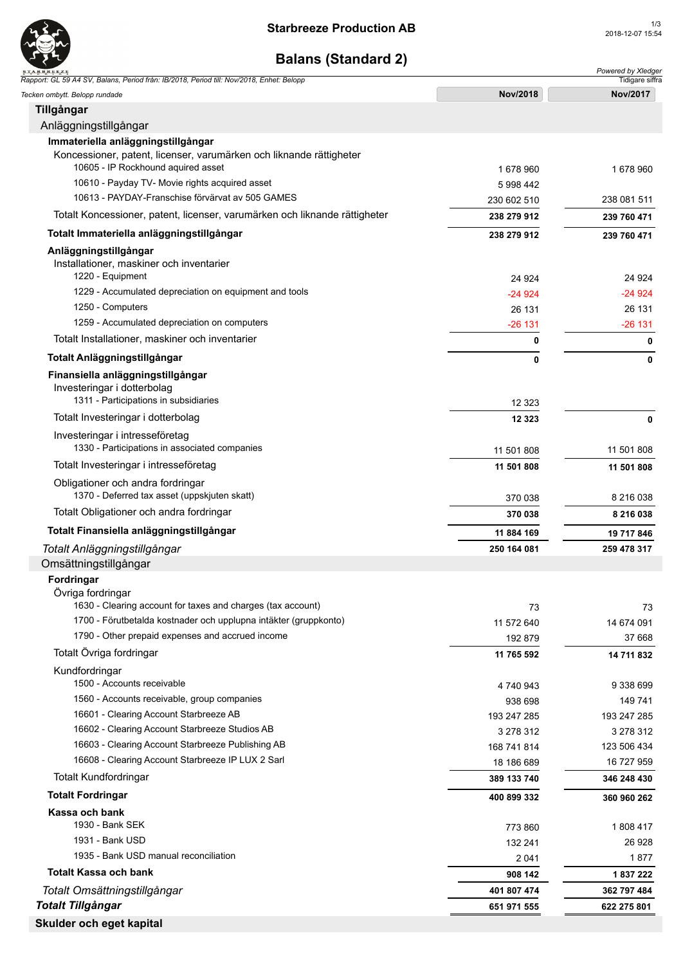

| <b>STARBREEZE</b><br>Rapport: GL 59 A4 SV, Balans, Period från: IB/2018, Period till: Nov/2018, Enhet: Belopp                   |                          | Powered by Xledger<br>Tidigare siffra |
|---------------------------------------------------------------------------------------------------------------------------------|--------------------------|---------------------------------------|
| Tecken ombytt. Belopp rundade                                                                                                   | Nov/2018                 | Nov/2017                              |
| Tillgångar                                                                                                                      |                          |                                       |
| Anläggningstillgångar                                                                                                           |                          |                                       |
| Immateriella anläggningstillgångar                                                                                              |                          |                                       |
| Koncessioner, patent, licenser, varumärken och liknande rättigheter                                                             |                          |                                       |
| 10605 - IP Rockhound aquired asset<br>10610 - Payday TV- Movie rights acquired asset                                            | 1 678 960                | 1 678 960                             |
| 10613 - PAYDAY-Franschise förvärvat av 505 GAMES                                                                                | 5 998 442<br>230 602 510 | 238 081 511                           |
| Totalt Koncessioner, patent, licenser, varumärken och liknande rättigheter                                                      | 238 279 912              | 239 760 471                           |
| Totalt Immateriella anläggningstillgångar                                                                                       |                          |                                       |
|                                                                                                                                 | 238 279 912              | 239 760 471                           |
| Anläggningstillgångar<br>Installationer, maskiner och inventarier                                                               |                          |                                       |
| 1220 - Equipment                                                                                                                | 24 9 24                  | 24 9 24                               |
| 1229 - Accumulated depreciation on equipment and tools                                                                          | $-24924$                 | -24 924                               |
| 1250 - Computers                                                                                                                | 26 131                   | 26 131                                |
| 1259 - Accumulated depreciation on computers                                                                                    | $-26131$                 | $-26131$                              |
| Totalt Installationer, maskiner och inventarier                                                                                 | 0                        | 0                                     |
| Totalt Anläggningstillgångar                                                                                                    | 0                        | $\mathbf{0}$                          |
| Finansiella anläggningstillgångar                                                                                               |                          |                                       |
| Investeringar i dotterbolag                                                                                                     |                          |                                       |
| 1311 - Participations in subsidiaries                                                                                           | 12 3 23                  |                                       |
| Totalt Investeringar i dotterbolag                                                                                              | 12 3 23                  | 0                                     |
| Investeringar i intresseföretag<br>1330 - Participations in associated companies                                                | 11 501 808               | 11 501 808                            |
| Totalt Investeringar i intresseföretag                                                                                          | 11 501 808               | 11 501 808                            |
| Obligationer och andra fordringar                                                                                               |                          |                                       |
| 1370 - Deferred tax asset (uppskjuten skatt)                                                                                    | 370 038                  | 8 216 038                             |
| Totalt Obligationer och andra fordringar                                                                                        | 370 038                  | 8 216 038                             |
| Totalt Finansiella anläggningstillgångar                                                                                        | 11 884 169               | 19 717 846                            |
| Totalt Anläggningstillgångar                                                                                                    | 250 164 081              | 259 478 317                           |
| Omsättningstillgångar                                                                                                           |                          |                                       |
| Fordringar                                                                                                                      |                          |                                       |
| Övriga fordringar                                                                                                               |                          |                                       |
| 1630 - Clearing account for taxes and charges (tax account)<br>1700 - Förutbetalda kostnader och upplupna intäkter (gruppkonto) | 73                       | 73                                    |
| 1790 - Other prepaid expenses and accrued income                                                                                | 11 572 640               | 14 674 091                            |
| Totalt Övriga fordringar                                                                                                        | 192 879<br>11 765 592    | 37 668                                |
|                                                                                                                                 |                          | 14 711 832                            |
| Kundfordringar<br>1500 - Accounts receivable                                                                                    | 4 740 943                | 9 338 699                             |
| 1560 - Accounts receivable, group companies                                                                                     | 938 698                  | 149 741                               |
| 16601 - Clearing Account Starbreeze AB                                                                                          | 193 247 285              | 193 247 285                           |
| 16602 - Clearing Account Starbreeze Studios AB                                                                                  | 3 278 312                | 3 278 312                             |
| 16603 - Clearing Account Starbreeze Publishing AB                                                                               | 168 741 814              | 123 506 434                           |
| 16608 - Clearing Account Starbreeze IP LUX 2 Sarl                                                                               | 18 186 689               | 16 727 959                            |
| <b>Totalt Kundfordringar</b>                                                                                                    | 389 133 740              | 346 248 430                           |
| <b>Totalt Fordringar</b>                                                                                                        | 400 899 332              | 360 960 262                           |
| Kassa och bank                                                                                                                  |                          |                                       |
| 1930 - Bank SEK                                                                                                                 | 773 860                  | 1808417                               |
| 1931 - Bank USD                                                                                                                 | 132 241                  | 26 928                                |
| 1935 - Bank USD manual reconciliation                                                                                           | 2041                     | 1877                                  |
| Totalt Kassa och bank                                                                                                           | 908 142                  | 1837222                               |
| Totalt Omsättningstillgångar                                                                                                    | 401 807 474              | 362 797 484                           |
| <b>Totalt Tillgångar</b>                                                                                                        | 651 971 555              | 622 275 801                           |
| Skulder och eget kapital                                                                                                        |                          |                                       |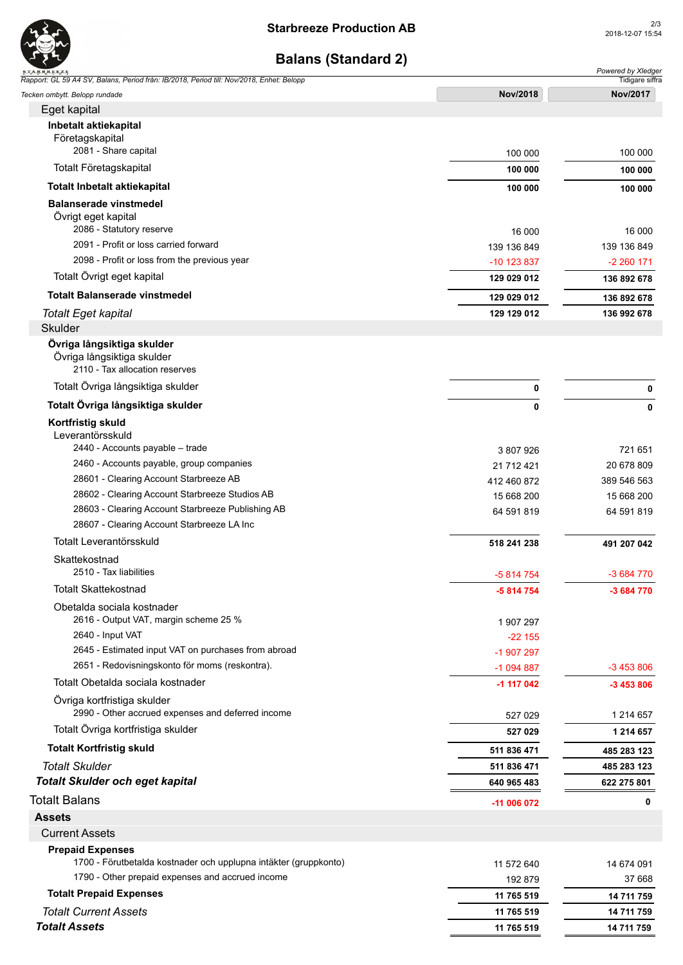

| <b>STARBREEZE</b><br>Rapport: GL 59 A4 SV, Balans, Period från: IB/2018, Period till: Nov/2018, Enhet: Belopp |             | Powered by Xledger<br>Tidigare siffra |
|---------------------------------------------------------------------------------------------------------------|-------------|---------------------------------------|
| Tecken ombytt. Belopp rundade                                                                                 | Nov/2018    | Nov/2017                              |
| Eget kapital                                                                                                  |             |                                       |
| Inbetalt aktiekapital                                                                                         |             |                                       |
| Företagskapital                                                                                               |             |                                       |
| 2081 - Share capital                                                                                          | 100 000     | 100 000                               |
| Totalt Företagskapital                                                                                        | 100 000     | 100 000                               |
| <b>Totalt Inbetalt aktiekapital</b>                                                                           | 100 000     | 100 000                               |
| <b>Balanserade vinstmedel</b>                                                                                 |             |                                       |
| Övrigt eget kapital                                                                                           |             |                                       |
| 2086 - Statutory reserve                                                                                      | 16 000      | 16 000                                |
| 2091 - Profit or loss carried forward                                                                         | 139 136 849 | 139 136 849                           |
| 2098 - Profit or loss from the previous year                                                                  | -10 123 837 | -2 260 171                            |
| Totalt Övrigt eget kapital                                                                                    | 129 029 012 | 136 892 678                           |
| <b>Totalt Balanserade vinstmedel</b>                                                                          | 129 029 012 | 136 892 678                           |
| <b>Totalt Eget kapital</b><br><b>Skulder</b>                                                                  | 129 129 012 | 136 992 678                           |
| Övriga långsiktiga skulder                                                                                    |             |                                       |
| Övriga långsiktiga skulder<br>2110 - Tax allocation reserves                                                  |             |                                       |
| Totalt Övriga långsiktiga skulder                                                                             | 0           | 0                                     |
|                                                                                                               |             |                                       |
| Totalt Övriga långsiktiga skulder                                                                             | 0           | 0                                     |
| Kortfristig skuld<br>Leverantörsskuld                                                                         |             |                                       |
| 2440 - Accounts payable - trade                                                                               | 3 807 926   | 721 651                               |
| 2460 - Accounts payable, group companies                                                                      | 21 712 421  | 20 678 809                            |
| 28601 - Clearing Account Starbreeze AB                                                                        | 412 460 872 | 389 546 563                           |
| 28602 - Clearing Account Starbreeze Studios AB                                                                | 15 668 200  | 15 668 200                            |
| 28603 - Clearing Account Starbreeze Publishing AB                                                             | 64 591 819  | 64 591 819                            |
| 28607 - Clearing Account Starbreeze LA Inc                                                                    |             |                                       |
| Totalt Leverantörsskuld                                                                                       | 518 241 238 | 491 207 042                           |
| Skattekostnad                                                                                                 |             |                                       |
| 2510 - Tax liabilities                                                                                        | -5 814 754  | -3 684 770                            |
| <b>Totalt Skattekostnad</b>                                                                                   | -5 814 754  | -3 684 770                            |
| Obetalda sociala kostnader                                                                                    |             |                                       |
| 2616 - Output VAT, margin scheme 25 %                                                                         | 1 907 297   |                                       |
| 2640 - Input VAT<br>2645 - Estimated input VAT on purchases from abroad                                       | $-22155$    |                                       |
| 2651 - Redovisningskonto för moms (reskontra).                                                                | -1 907 297  | $-3453806$                            |
| Totalt Obetalda sociala kostnader                                                                             | $-1094887$  |                                       |
| Övriga kortfristiga skulder                                                                                   | -1 117 042  | $-3453806$                            |
| 2990 - Other accrued expenses and deferred income                                                             | 527 029     | 1 214 657                             |
| Totalt Övriga kortfristiga skulder                                                                            | 527 029     | 1 214 657                             |
| <b>Totalt Kortfristig skuld</b>                                                                               | 511 836 471 | 485 283 123                           |
| <b>Totalt Skulder</b>                                                                                         | 511 836 471 | 485 283 123                           |
| <b>Totalt Skulder och eget kapital</b>                                                                        | 640 965 483 | 622 275 801                           |
| <b>Totalt Balans</b>                                                                                          | -11 006 072 | 0                                     |
| <b>Assets</b>                                                                                                 |             |                                       |
| <b>Current Assets</b>                                                                                         |             |                                       |
| <b>Prepaid Expenses</b>                                                                                       |             |                                       |
| 1700 - Förutbetalda kostnader och upplupna intäkter (gruppkonto)                                              | 11 572 640  | 14 674 091                            |
| 1790 - Other prepaid expenses and accrued income                                                              | 192 879     | 37 668                                |
| <b>Totalt Prepaid Expenses</b>                                                                                | 11 765 519  | 14 711 759                            |
| <b>Totalt Current Assets</b>                                                                                  | 11 765 519  | 14 711 759                            |
| <b>Totalt Assets</b>                                                                                          | 11 765 519  | 14 711 759                            |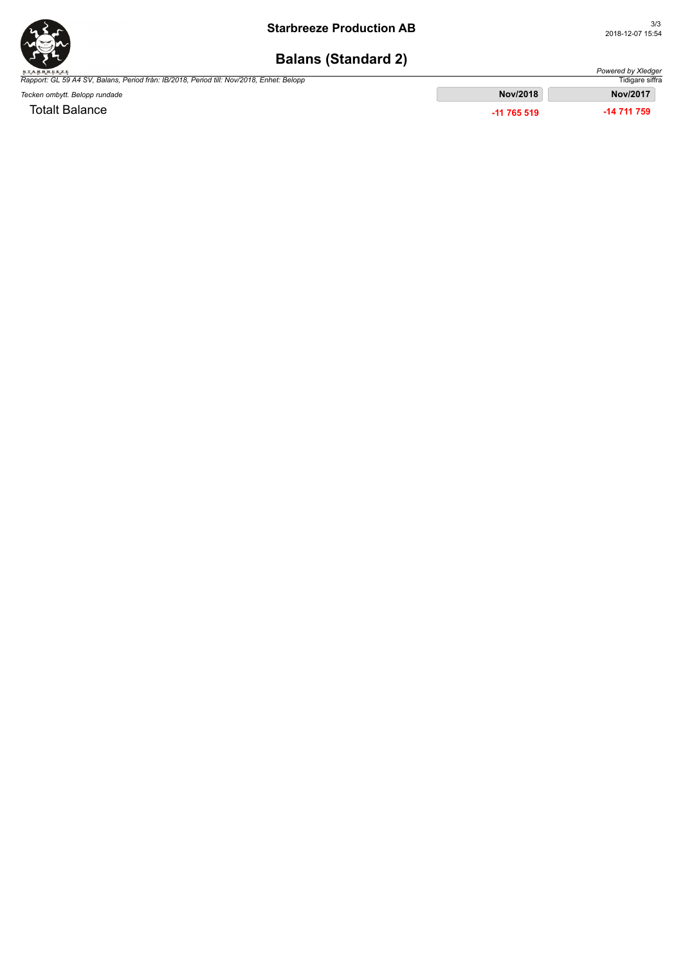

*Powered by Xledger*

### **Balans (Standard 2)**

*Rapport: GL 59 A4 SV, Balans, Period från: IB/2018, Period till: Nov/2018, Enhet: Belopp*

Tidigare siffra *Tecken ombytt. Belopp rundade* **Nov/2018 Nov/2017**  Totalt Balance **-11 765 519 -14 711 759**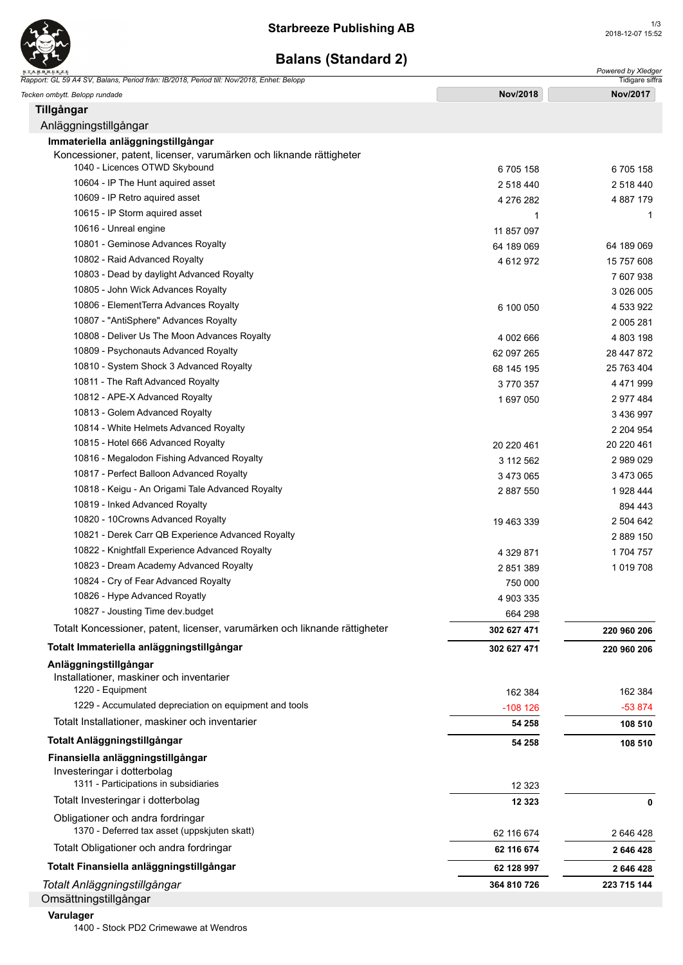

| <b>STARBREEZE</b><br>Rapport: GL 59 A4 SV, Balans, Period från: IB/2018, Period till: Nov/2018, Enhet: Belopp |             | Powered by Xledger<br>Tidigare siffra |
|---------------------------------------------------------------------------------------------------------------|-------------|---------------------------------------|
| Tecken ombytt. Belopp rundade                                                                                 | Nov/2018    | Nov/2017                              |
| Tillgångar                                                                                                    |             |                                       |
| Anläggningstillgångar                                                                                         |             |                                       |
| Immateriella anläggningstillgångar                                                                            |             |                                       |
| Koncessioner, patent, licenser, varumärken och liknande rättigheter                                           |             |                                       |
| 1040 - Licences OTWD Skybound                                                                                 | 6705158     | 6705158                               |
| 10604 - IP The Hunt aquired asset                                                                             | 2 518 440   | 2 518 440                             |
| 10609 - IP Retro aquired asset                                                                                | 4 276 282   | 4 887 179                             |
| 10615 - IP Storm aquired asset                                                                                |             | 1                                     |
| 10616 - Unreal engine                                                                                         | 11 857 097  |                                       |
| 10801 - Geminose Advances Royalty                                                                             | 64 189 069  | 64 189 069                            |
| 10802 - Raid Advanced Royalty                                                                                 | 4 612 972   | 15 757 608                            |
| 10803 - Dead by daylight Advanced Royalty                                                                     |             | 7 607 938                             |
| 10805 - John Wick Advances Royalty                                                                            |             | 3 0 26 0 05                           |
| 10806 - ElementTerra Advances Royalty                                                                         | 6 100 050   | 4 533 922                             |
| 10807 - "AntiSphere" Advances Royalty                                                                         |             | 2 005 281                             |
| 10808 - Deliver Us The Moon Advances Royalty                                                                  | 4 002 666   | 4 803 198                             |
| 10809 - Psychonauts Advanced Royalty                                                                          | 62 097 265  | 28 447 872                            |
| 10810 - System Shock 3 Advanced Royalty                                                                       | 68 145 195  | 25 763 404                            |
| 10811 - The Raft Advanced Royalty                                                                             | 3770357     | 4 471 999                             |
| 10812 - APE-X Advanced Royalty                                                                                | 1 697 050   | 2977484                               |
| 10813 - Golem Advanced Royalty                                                                                |             | 3 436 997                             |
| 10814 - White Helmets Advanced Royalty                                                                        |             | 2 204 954                             |
| 10815 - Hotel 666 Advanced Royalty                                                                            | 20 220 461  | 20 220 461                            |
| 10816 - Megalodon Fishing Advanced Royalty                                                                    | 3 112 562   | 2 989 029                             |
| 10817 - Perfect Balloon Advanced Royalty                                                                      | 3 473 065   | 3 473 065                             |
| 10818 - Keigu - An Origami Tale Advanced Royalty                                                              | 2 887 550   | 1928 444                              |
| 10819 - Inked Advanced Royalty                                                                                |             | 894 443                               |
| 10820 - 10Crowns Advanced Royalty                                                                             | 19 463 339  | 2 504 642                             |
| 10821 - Derek Carr QB Experience Advanced Royalty                                                             |             | 2 889 150                             |
| 10822 - Knightfall Experience Advanced Royalty                                                                | 4 329 871   | 1 704 757                             |
| 10823 - Dream Academy Advanced Royalty                                                                        | 2851389     | 1 0 1 9 7 0 8                         |
| 10824 - Cry of Fear Advanced Royalty                                                                          | 750 000     |                                       |
| 10826 - Hype Advanced Royatly                                                                                 | 4 903 335   |                                       |
| 10827 - Jousting Time dev.budget                                                                              | 664 298     |                                       |
| Totalt Koncessioner, patent, licenser, varumärken och liknande rättigheter                                    | 302 627 471 | 220 960 206                           |
| Totalt Immateriella anläggningstillgångar                                                                     | 302 627 471 | 220 960 206                           |
| Anläggningstillgångar                                                                                         |             |                                       |
| Installationer, maskiner och inventarier                                                                      |             |                                       |
| 1220 - Equipment                                                                                              | 162 384     | 162 384                               |
| 1229 - Accumulated depreciation on equipment and tools                                                        | -108 126    | $-53874$                              |
| Totalt Installationer, maskiner och inventarier                                                               | 54 258      | 108 510                               |
| Totalt Anläggningstillgångar                                                                                  | 54 258      | 108 510                               |
| Finansiella anläggningstillgångar                                                                             |             |                                       |
| Investeringar i dotterbolag<br>1311 - Participations in subsidiaries                                          | 12 3 23     |                                       |
| Totalt Investeringar i dotterbolag                                                                            | 12 3 23     | 0                                     |
| Obligationer och andra fordringar<br>1370 - Deferred tax asset (uppskjuten skatt)                             | 62 116 674  | 2 646 428                             |
| Totalt Obligationer och andra fordringar                                                                      | 62 116 674  | 2 646 428                             |
| Totalt Finansiella anläggningstillgångar                                                                      | 62 128 997  | 2 646 428                             |
| Totalt Anläggningstillgångar                                                                                  | 364 810 726 | 223 715 144                           |
| Omsättningstillgångar                                                                                         |             |                                       |

#### **Varulager**

1400 - Stock PD2 Crimewawe at Wendros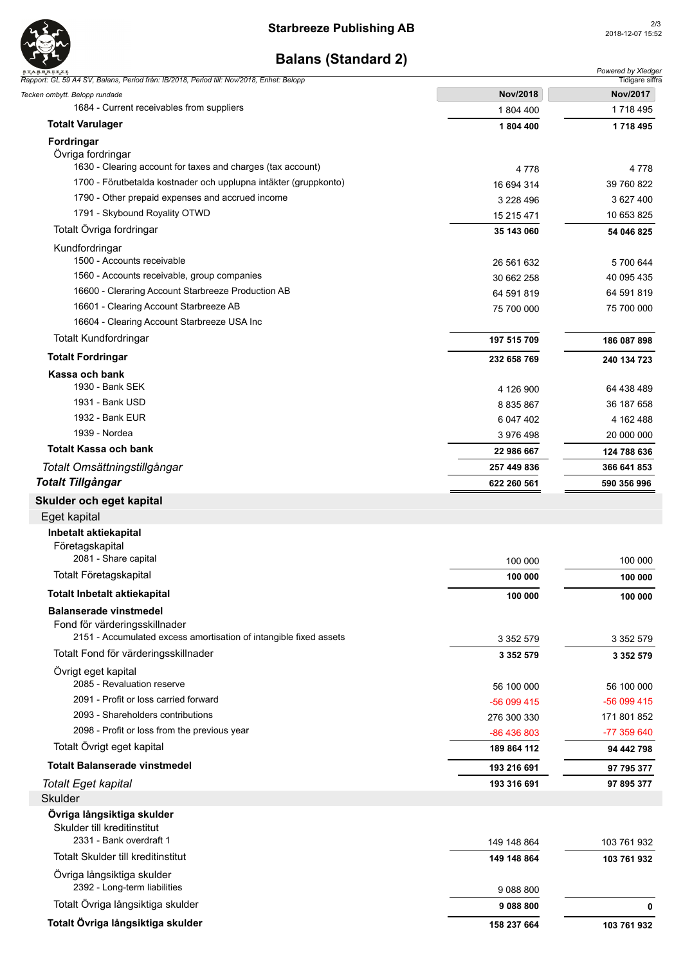

### **Starbreeze Publishing AB**

| <b>STARBREEZE</b><br>Rapport: GL 59 A4 SV, Balans, Period från: IB/2018, Period till: Nov/2018, Enhet: Belopp |                          | Powered by Xledger<br>Tidigare siffra |
|---------------------------------------------------------------------------------------------------------------|--------------------------|---------------------------------------|
| Tecken ombytt. Belopp rundade                                                                                 | Nov/2018                 | Nov/2017                              |
| 1684 - Current receivables from suppliers                                                                     | 1804 400                 | 1718495                               |
| <b>Totalt Varulager</b>                                                                                       | 1804 400                 | 1718 495                              |
| Fordringar                                                                                                    |                          |                                       |
| Övriga fordringar                                                                                             |                          |                                       |
| 1630 - Clearing account for taxes and charges (tax account)                                                   | 4 778                    | 4 778                                 |
| 1700 - Förutbetalda kostnader och upplupna intäkter (gruppkonto)                                              | 16 694 314               | 39 760 822                            |
| 1790 - Other prepaid expenses and accrued income                                                              | 3 228 496                | 3 627 400                             |
| 1791 - Skybound Royality OTWD                                                                                 | 15 215 471               | 10 653 825                            |
| Totalt Övriga fordringar                                                                                      | 35 143 060               | 54 046 825                            |
| Kundfordringar<br>1500 - Accounts receivable                                                                  |                          |                                       |
| 1560 - Accounts receivable, group companies                                                                   | 26 561 632<br>30 662 258 | 5 700 644<br>40 095 435               |
| 16600 - Cleraring Account Starbreeze Production AB                                                            | 64 591 819               | 64 591 819                            |
| 16601 - Clearing Account Starbreeze AB                                                                        | 75 700 000               | 75 700 000                            |
| 16604 - Clearing Account Starbreeze USA Inc                                                                   |                          |                                       |
| <b>Totalt Kundfordringar</b>                                                                                  | 197 515 709              | 186 087 898                           |
| <b>Totalt Fordringar</b>                                                                                      |                          |                                       |
| Kassa och bank                                                                                                | 232 658 769              | 240 134 723                           |
| 1930 - Bank SEK                                                                                               | 4 126 900                | 64 438 489                            |
| 1931 - Bank USD                                                                                               | 8 835 867                | 36 187 658                            |
| 1932 - Bank EUR                                                                                               | 6 047 402                | 4 162 488                             |
| 1939 - Nordea                                                                                                 | 3 976 498                | 20 000 000                            |
| <b>Totalt Kassa och bank</b>                                                                                  | 22 986 667               | 124 788 636                           |
| Totalt Omsättningstillgångar                                                                                  | 257 449 836              | 366 641 853                           |
| <b>Totalt Tillgångar</b>                                                                                      | 622 260 561              | 590 356 996                           |
| Skulder och eget kapital                                                                                      |                          |                                       |
| Eget kapital                                                                                                  |                          |                                       |
| Inbetalt aktiekapital                                                                                         |                          |                                       |
| Företagskapital                                                                                               |                          |                                       |
| 2081 - Share capital                                                                                          | 100 000                  | 100 000                               |
| Totalt Företagskapital                                                                                        | 100 000                  | 100 000                               |
| <b>Totalt Inbetalt aktiekapital</b>                                                                           | 100 000                  | 100 000                               |
| <b>Balanserade vinstmedel</b>                                                                                 |                          |                                       |
| Fond för värderingsskillnader                                                                                 |                          |                                       |
| 2151 - Accumulated excess amortisation of intangible fixed assets                                             | 3 3 5 2 5 7 9            | 3 3 5 2 5 7 9                         |
| Totalt Fond för värderingsskillnader                                                                          | 3 3 5 2 5 7 9            | 3 352 579                             |
| Övrigt eget kapital                                                                                           |                          |                                       |
| 2085 - Revaluation reserve                                                                                    | 56 100 000               | 56 100 000                            |
| 2091 - Profit or loss carried forward                                                                         | -56 099 415              | -56 099 415                           |
| 2093 - Shareholders contributions<br>2098 - Profit or loss from the previous year                             | 276 300 330              | 171 801 852                           |
|                                                                                                               | -86 436 803              | -77 359 640                           |
| Totalt Övrigt eget kapital                                                                                    | 189 864 112              | 94 442 798                            |
| <b>Totalt Balanserade vinstmedel</b>                                                                          | 193 216 691              | 97 795 377                            |
| Totalt Eget kapital                                                                                           | 193 316 691              | 97 895 377                            |
| <b>Skulder</b>                                                                                                |                          |                                       |
| Övriga långsiktiga skulder<br>Skulder till kreditinstitut                                                     |                          |                                       |
| 2331 - Bank overdraft 1                                                                                       | 149 148 864              | 103 761 932                           |
| <b>Totalt Skulder till kreditinstitut</b>                                                                     | 149 148 864              | 103 761 932                           |
| Övriga långsiktiga skulder                                                                                    |                          |                                       |
| 2392 - Long-term liabilities                                                                                  | 9 088 800                |                                       |
| Totalt Övriga långsiktiga skulder                                                                             | 9 088 800                | 0                                     |
| Totalt Övriga långsiktiga skulder                                                                             |                          |                                       |
|                                                                                                               | 158 237 664              | 103 761 932                           |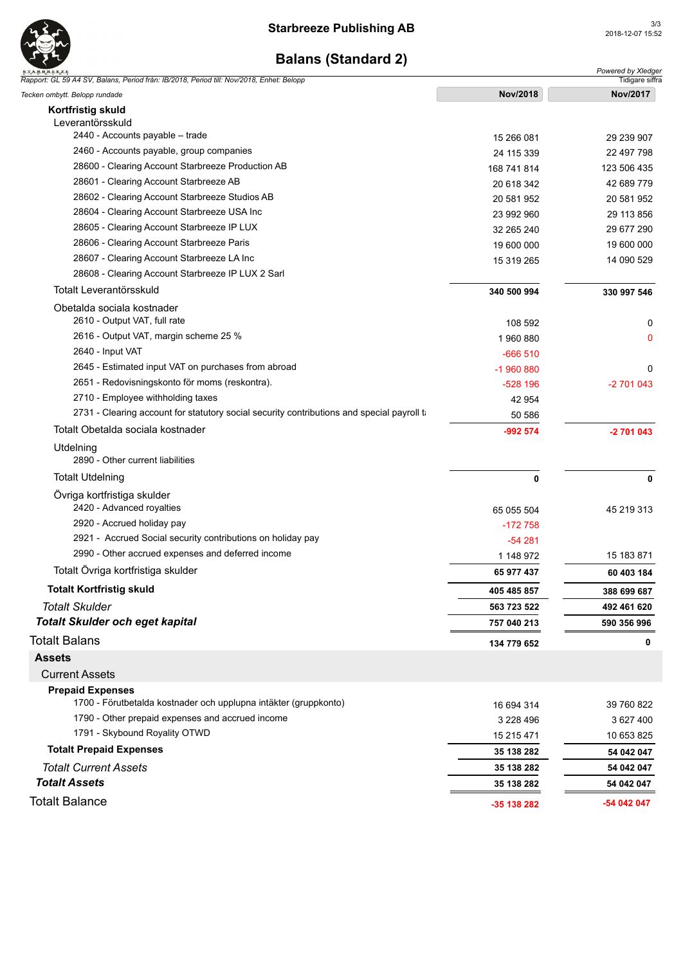

### **Starbreeze Publishing AB**

| <b>STARBREEZE</b><br>Rapport: GL 59 A4 SV, Balans, Period från: IB/2018, Period till: Nov/2018, Enhet: Belopp |               | Powered by Xledger<br>Tidigare siffra |
|---------------------------------------------------------------------------------------------------------------|---------------|---------------------------------------|
| Tecken ombytt. Belopp rundade                                                                                 | Nov/2018      | Nov/2017                              |
| <b>Kortfristig skuld</b>                                                                                      |               |                                       |
| Leverantörsskuld                                                                                              |               |                                       |
| 2440 - Accounts payable - trade                                                                               | 15 266 081    | 29 239 907                            |
| 2460 - Accounts payable, group companies                                                                      | 24 115 339    | 22 497 798                            |
| 28600 - Clearing Account Starbreeze Production AB                                                             | 168 741 814   | 123 506 435                           |
| 28601 - Clearing Account Starbreeze AB                                                                        | 20 618 342    | 42 689 779                            |
| 28602 - Clearing Account Starbreeze Studios AB                                                                | 20 581 952    | 20 581 952                            |
| 28604 - Clearing Account Starbreeze USA Inc                                                                   | 23 992 960    | 29 113 856                            |
| 28605 - Clearing Account Starbreeze IP LUX                                                                    | 32 265 240    | 29 677 290                            |
| 28606 - Clearing Account Starbreeze Paris                                                                     | 19 600 000    | 19 600 000                            |
| 28607 - Clearing Account Starbreeze LA Inc                                                                    | 15 319 265    | 14 090 529                            |
| 28608 - Clearing Account Starbreeze IP LUX 2 Sarl                                                             |               |                                       |
| Totalt Leverantörsskuld                                                                                       | 340 500 994   | 330 997 546                           |
| Obetalda sociala kostnader                                                                                    |               |                                       |
| 2610 - Output VAT, full rate                                                                                  | 108 592       | 0                                     |
| 2616 - Output VAT, margin scheme 25 %                                                                         | 1960880       | 0                                     |
| 2640 - Input VAT                                                                                              | $-666510$     |                                       |
| 2645 - Estimated input VAT on purchases from abroad                                                           | $-1960880$    | 0                                     |
| 2651 - Redovisningskonto för moms (reskontra).                                                                | -528 196      | -2 701 043                            |
| 2710 - Employee withholding taxes                                                                             | 42 954        |                                       |
| 2731 - Clearing account for statutory social security contributions and special payroll to                    | 50 586        |                                       |
| Totalt Obetalda sociala kostnader                                                                             | -992 574      | $-2701043$                            |
| Utdelning<br>2890 - Other current liabilities                                                                 |               |                                       |
| <b>Totalt Utdelning</b>                                                                                       | 0             | 0                                     |
| Ovriga kortfristiga skulder                                                                                   |               |                                       |
| 2420 - Advanced royalties                                                                                     | 65 055 504    | 45 219 313                            |
| 2920 - Accrued holiday pay                                                                                    | $-172758$     |                                       |
| 2921 - Accrued Social security contributions on holiday pay                                                   | $-54281$      |                                       |
| 2990 - Other accrued expenses and deferred income                                                             | 1 148 972     | 15 183 871                            |
| Totalt Övriga kortfristiga skulder                                                                            | 65 977 437    | 60 403 184                            |
| <b>Totalt Kortfristig skuld</b>                                                                               | 405 485 857   | 388 699 687                           |
| <b>Totalt Skulder</b>                                                                                         | 563 723 522   | 492 461 620                           |
| <b>Totalt Skulder och eget kapital</b>                                                                        | 757 040 213   | 590 356 996                           |
| <b>Totalt Balans</b>                                                                                          | 134 779 652   | 0                                     |
| <b>Assets</b>                                                                                                 |               |                                       |
| <b>Current Assets</b>                                                                                         |               |                                       |
| <b>Prepaid Expenses</b><br>1700 - Förutbetalda kostnader och upplupna intäkter (gruppkonto)                   | 16 694 314    | 39 760 822                            |
| 1790 - Other prepaid expenses and accrued income                                                              | 3 2 2 8 4 9 6 | 3 627 400                             |
| 1791 - Skybound Royality OTWD                                                                                 | 15 215 471    | 10 653 825                            |
| <b>Totalt Prepaid Expenses</b>                                                                                | 35 138 282    | 54 042 047                            |
| <b>Totalt Current Assets</b>                                                                                  | 35 138 282    | 54 042 047                            |
| <b>Totalt Assets</b>                                                                                          | 35 138 282    | 54 042 047                            |
| <b>Totalt Balance</b>                                                                                         |               |                                       |
|                                                                                                               | -35 138 282   | -54 042 047                           |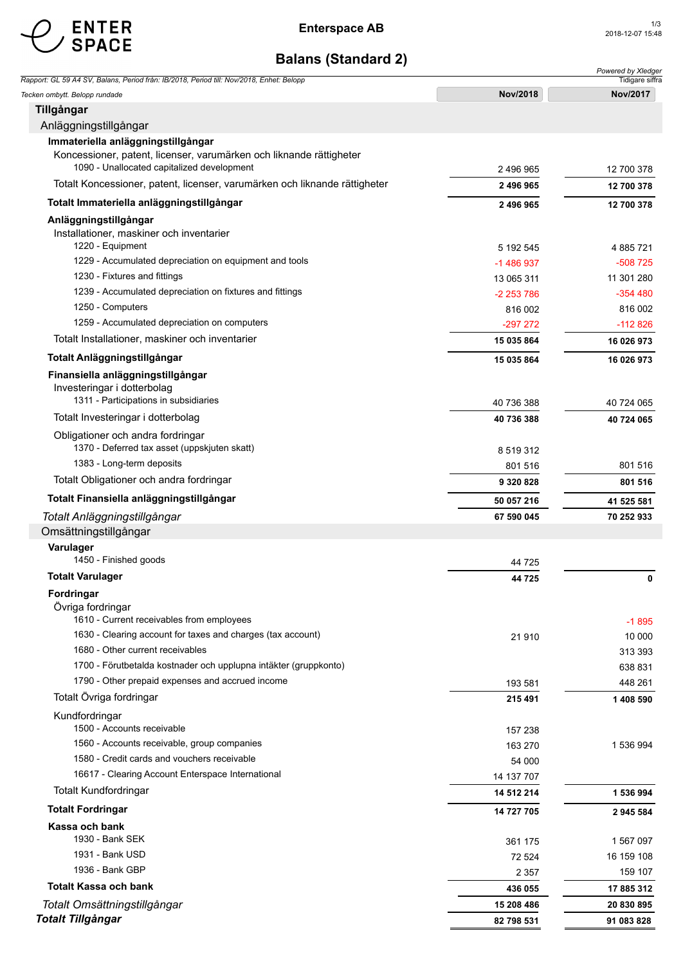

|            | Powered by Xledger<br>Tidigare siffra                                                                                                                                         |
|------------|-------------------------------------------------------------------------------------------------------------------------------------------------------------------------------|
| Nov/2018   | Nov/2017                                                                                                                                                                      |
|            |                                                                                                                                                                               |
|            |                                                                                                                                                                               |
|            |                                                                                                                                                                               |
|            |                                                                                                                                                                               |
|            | 12 700 378                                                                                                                                                                    |
|            | 12 700 378                                                                                                                                                                    |
| 2 496 965  | 12 700 378                                                                                                                                                                    |
|            |                                                                                                                                                                               |
|            | 4 885 721                                                                                                                                                                     |
|            | -508 725                                                                                                                                                                      |
| 13 065 311 | 11 301 280                                                                                                                                                                    |
| $-2253786$ | $-354480$                                                                                                                                                                     |
| 816 002    | 816 002                                                                                                                                                                       |
| $-297272$  | $-112826$                                                                                                                                                                     |
| 15 035 864 | 16 026 973                                                                                                                                                                    |
|            | 16 026 973                                                                                                                                                                    |
|            |                                                                                                                                                                               |
|            |                                                                                                                                                                               |
| 40 736 388 | 40 724 065                                                                                                                                                                    |
| 40 736 388 | 40 724 065                                                                                                                                                                    |
|            |                                                                                                                                                                               |
| 8 519 312  |                                                                                                                                                                               |
| 801 516    | 801 516                                                                                                                                                                       |
| 9 320 828  | 801 516                                                                                                                                                                       |
| 50 057 216 | 41 525 581                                                                                                                                                                    |
| 67 590 045 | 70 252 933                                                                                                                                                                    |
|            |                                                                                                                                                                               |
|            |                                                                                                                                                                               |
|            |                                                                                                                                                                               |
|            | 0                                                                                                                                                                             |
|            |                                                                                                                                                                               |
|            | $-1895$                                                                                                                                                                       |
| 21 910     | 10 000                                                                                                                                                                        |
|            | 313 393                                                                                                                                                                       |
|            | 638 831                                                                                                                                                                       |
| 193 581    | 448 261                                                                                                                                                                       |
| 215 491    | 1 408 590                                                                                                                                                                     |
|            |                                                                                                                                                                               |
| 157 238    |                                                                                                                                                                               |
|            | 1 536 994                                                                                                                                                                     |
|            |                                                                                                                                                                               |
|            |                                                                                                                                                                               |
|            | 1 536 994                                                                                                                                                                     |
| 14 727 705 | 2945584                                                                                                                                                                       |
|            |                                                                                                                                                                               |
|            | 1 567 097                                                                                                                                                                     |
|            | 16 159 108<br>159 107                                                                                                                                                         |
|            | 17 885 312                                                                                                                                                                    |
|            |                                                                                                                                                                               |
| 15 208 486 | 20 830 895                                                                                                                                                                    |
|            | 2 496 965<br>2 496 965<br>5 192 545<br>-1 486 937<br>15 035 864<br>44 725<br>44 725<br>163 270<br>54 000<br>14 137 707<br>14 512 214<br>361 175<br>72 524<br>2 357<br>436 055 |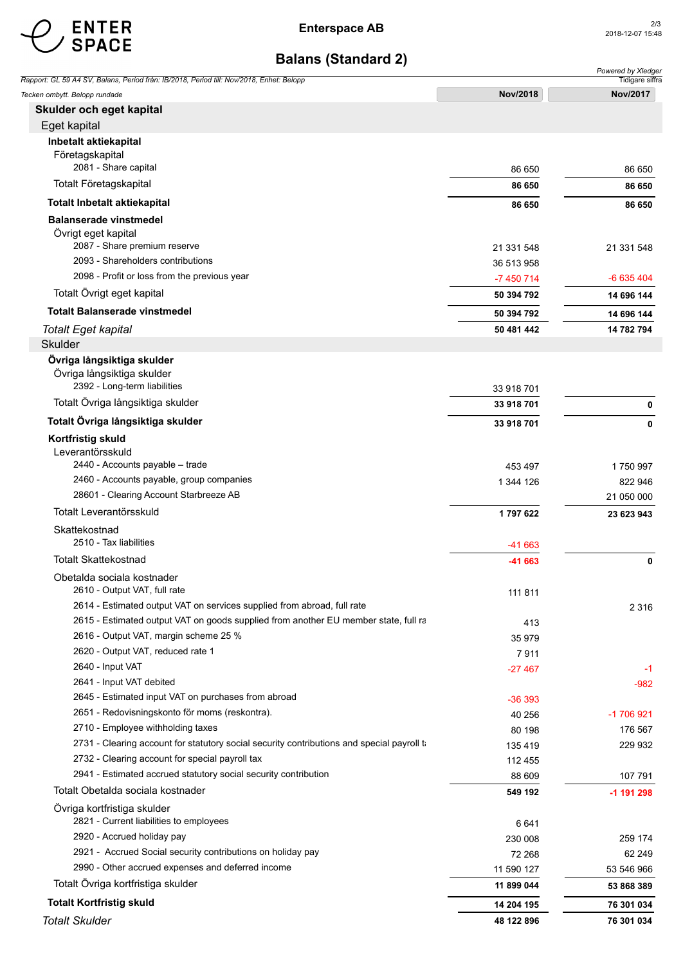

| Rapport: GL 59 A4 SV, Balans, Period från: IB/2018, Period till: Nov/2018, Enhet: Belopp   |            | Powered by Xledger<br>Tidigare siffra |
|--------------------------------------------------------------------------------------------|------------|---------------------------------------|
| Tecken ombytt. Belopp rundade                                                              | Nov/2018   | Nov/2017                              |
| Skulder och eget kapital                                                                   |            |                                       |
| Eget kapital                                                                               |            |                                       |
| Inbetalt aktiekapital                                                                      |            |                                       |
| Företagskapital                                                                            |            |                                       |
| 2081 - Share capital                                                                       | 86 650     | 86 650                                |
| Totalt Företagskapital                                                                     | 86 650     | 86 650                                |
| <b>Totalt Inbetalt aktiekapital</b>                                                        | 86 650     | 86 650                                |
| <b>Balanserade vinstmedel</b>                                                              |            |                                       |
| Övrigt eget kapital                                                                        |            |                                       |
| 2087 - Share premium reserve                                                               | 21 331 548 | 21 331 548                            |
| 2093 - Shareholders contributions                                                          | 36 513 958 |                                       |
| 2098 - Profit or loss from the previous year                                               | -7 450 714 | -6 635 404                            |
| Totalt Övrigt eget kapital                                                                 | 50 394 792 | 14 696 144                            |
| <b>Totalt Balanserade vinstmedel</b>                                                       | 50 394 792 | 14 696 144                            |
| <b>Totalt Eget kapital</b>                                                                 | 50 481 442 | 14 782 794                            |
| <b>Skulder</b>                                                                             |            |                                       |
| Övriga långsiktiga skulder                                                                 |            |                                       |
| Övriga långsiktiga skulder<br>2392 - Long-term liabilities                                 |            |                                       |
| Totalt Övriga långsiktiga skulder                                                          | 33 918 701 |                                       |
|                                                                                            | 33 918 701 | 0                                     |
| Totalt Övriga långsiktiga skulder                                                          | 33 918 701 | 0                                     |
| Kortfristig skuld                                                                          |            |                                       |
| Leverantörsskuld<br>2440 - Accounts payable - trade                                        | 453 497    | 1750997                               |
| 2460 - Accounts payable, group companies                                                   | 1 344 126  | 822 946                               |
| 28601 - Clearing Account Starbreeze AB                                                     |            | 21 050 000                            |
| Totalt Leverantörsskuld                                                                    | 1797622    | 23 623 943                            |
| Skattekostnad                                                                              |            |                                       |
| 2510 - Tax liabilities                                                                     | -41 663    |                                       |
| <b>Totalt Skattekostnad</b>                                                                | $-41663$   | 0                                     |
| Obetalda sociala kostnader                                                                 |            |                                       |
| 2610 - Output VAT, full rate                                                               | 111 811    |                                       |
| 2614 - Estimated output VAT on services supplied from abroad, full rate                    |            | 2 3 1 6                               |
| 2615 - Estimated output VAT on goods supplied from another EU member state, full ra        | 413        |                                       |
| 2616 - Output VAT, margin scheme 25 %                                                      | 35 979     |                                       |
| 2620 - Output VAT, reduced rate 1                                                          | 7911       |                                       |
| 2640 - Input VAT                                                                           | $-27467$   | -1                                    |
| 2641 - Input VAT debited                                                                   |            | -982                                  |
| 2645 - Estimated input VAT on purchases from abroad                                        | -36 393    |                                       |
| 2651 - Redovisningskonto för moms (reskontra).                                             | 40 256     | -1 706 921                            |
| 2710 - Employee withholding taxes                                                          | 80 198     | 176 567                               |
| 2731 - Clearing account for statutory social security contributions and special payroll to | 135 419    | 229 932                               |
| 2732 - Clearing account for special payroll tax                                            | 112 455    |                                       |
| 2941 - Estimated accrued statutory social security contribution                            | 88 609     | 107 791                               |
| Totalt Obetalda sociala kostnader                                                          | 549 192    | -1 191 298                            |
| Övriga kortfristiga skulder                                                                |            |                                       |
| 2821 - Current liabilities to employees                                                    | 6641       |                                       |
| 2920 - Accrued holiday pay                                                                 | 230 008    | 259 174                               |
| 2921 - Accrued Social security contributions on holiday pay                                | 72 268     | 62 249                                |
| 2990 - Other accrued expenses and deferred income                                          | 11 590 127 | 53 546 966                            |
| Totalt Övriga kortfristiga skulder                                                         | 11 899 044 | 53 868 389                            |
| <b>Totalt Kortfristig skuld</b>                                                            | 14 204 195 | 76 301 034                            |
| <b>Totalt Skulder</b>                                                                      | 48 122 896 | 76 301 034                            |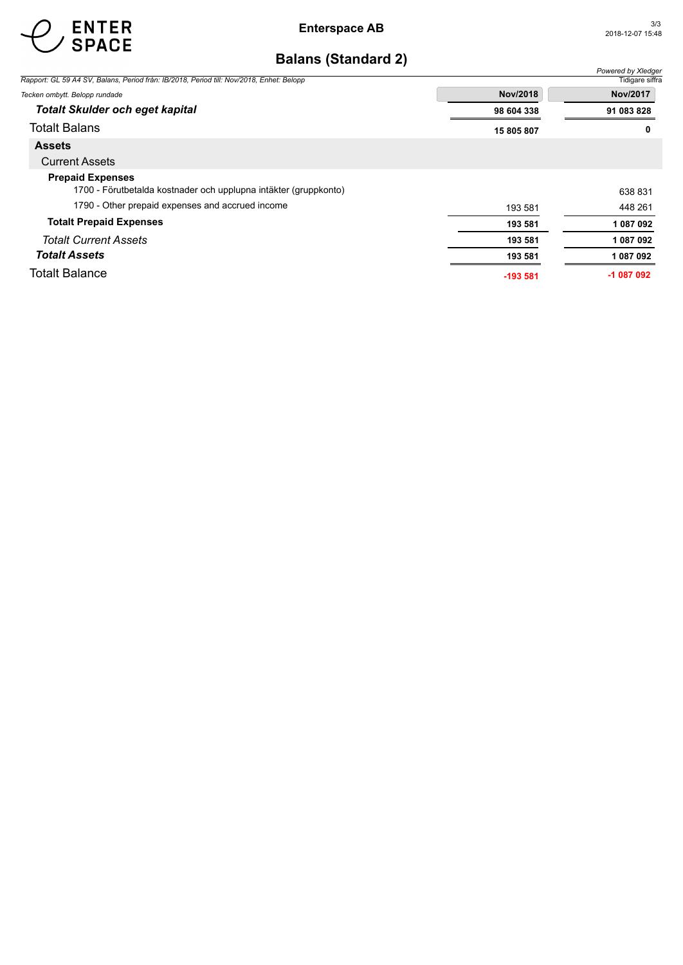

|                                                                                          |                 | Powered by Xledger |
|------------------------------------------------------------------------------------------|-----------------|--------------------|
| Rapport: GL 59 A4 SV, Balans, Period från: IB/2018, Period till: Nov/2018, Enhet: Belopp |                 | Tidigare siffra    |
| Tecken ombytt. Belopp rundade                                                            | <b>Nov/2018</b> | <b>Nov/2017</b>    |
| <b>Totalt Skulder och eget kapital</b>                                                   | 98 604 338      | 91 083 828         |
| <b>Totalt Balans</b>                                                                     | 15 805 807      | 0                  |
| <b>Assets</b>                                                                            |                 |                    |
| <b>Current Assets</b>                                                                    |                 |                    |
| <b>Prepaid Expenses</b>                                                                  |                 |                    |
| 1700 - Förutbetalda kostnader och upplupna intäkter (gruppkonto)                         |                 | 638 831            |
| 1790 - Other prepaid expenses and accrued income                                         | 193 581         | 448 261            |
| <b>Totalt Prepaid Expenses</b>                                                           | 193 581         | 1 087 092          |
| <b>Totalt Current Assets</b>                                                             | 193 581         | 1 087 092          |
| <b>Totalt Assets</b>                                                                     | 193 581         | 1 087 092          |
| <b>Totalt Balance</b>                                                                    | -193 581        | $-1087092$         |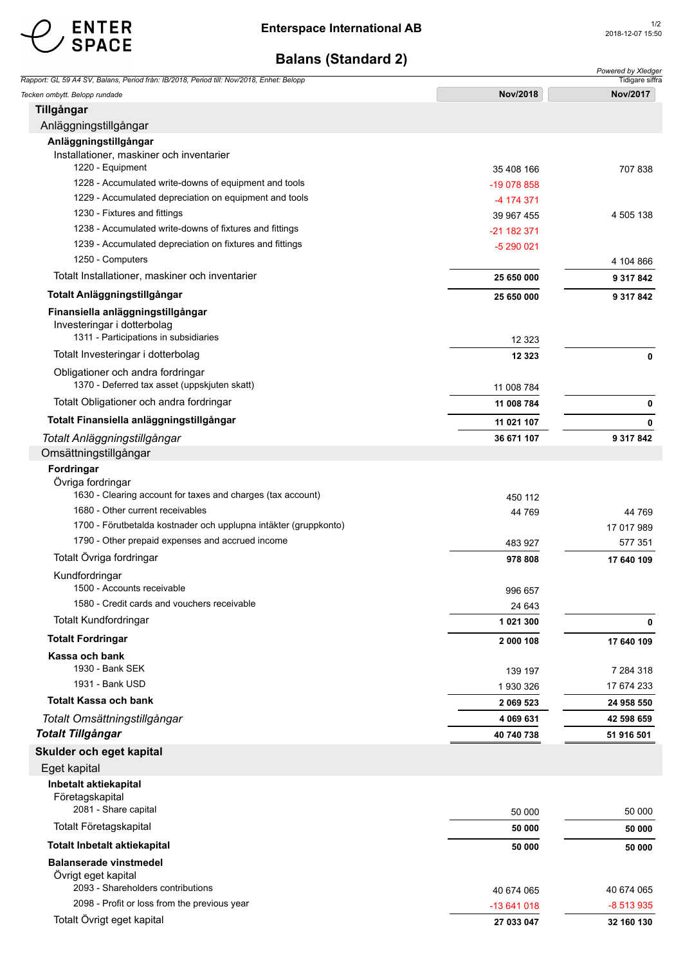

| Rapport: GL 59 A4 SV, Balans, Period från: IB/2018, Period till: Nov/2018, Enhet: Belopp |             | Powered by Xledger<br>Tidigare siffra |
|------------------------------------------------------------------------------------------|-------------|---------------------------------------|
| Tecken ombytt. Belopp rundade                                                            | Nov/2018    | Nov/2017                              |
| Tillgångar                                                                               |             |                                       |
| Anläggningstillgångar                                                                    |             |                                       |
| Anläggningstillgångar                                                                    |             |                                       |
| Installationer, maskiner och inventarier                                                 |             |                                       |
| 1220 - Equipment                                                                         | 35 408 166  | 707838                                |
| 1228 - Accumulated write-downs of equipment and tools                                    | -19 078 858 |                                       |
| 1229 - Accumulated depreciation on equipment and tools                                   | -4 174 371  |                                       |
| 1230 - Fixtures and fittings                                                             | 39 967 455  | 4 505 138                             |
| 1238 - Accumulated write-downs of fixtures and fittings                                  | -21 182 371 |                                       |
| 1239 - Accumulated depreciation on fixtures and fittings                                 | -5 290 021  |                                       |
| 1250 - Computers                                                                         |             | 4 104 866                             |
| Totalt Installationer, maskiner och inventarier                                          | 25 650 000  | 9 317 842                             |
| Totalt Anläggningstillgångar                                                             | 25 650 000  | 9 317 842                             |
| Finansiella anläggningstillgångar                                                        |             |                                       |
| Investeringar i dotterbolag<br>1311 - Participations in subsidiaries                     |             |                                       |
|                                                                                          | 12 3 23     |                                       |
| Totalt Investeringar i dotterbolag                                                       | 12 3 23     | 0                                     |
| Obligationer och andra fordringar                                                        |             |                                       |
| 1370 - Deferred tax asset (uppskjuten skatt)                                             | 11 008 784  |                                       |
| Totalt Obligationer och andra fordringar                                                 | 11 008 784  | 0                                     |
| Totalt Finansiella anläggningstillgångar                                                 | 11 021 107  | 0                                     |
| Totalt Anläggningstillgångar                                                             | 36 671 107  | 9 317 842                             |
| Omsättningstillgångar                                                                    |             |                                       |
| Fordringar                                                                               |             |                                       |
| Övriga fordringar<br>1630 - Clearing account for taxes and charges (tax account)         |             |                                       |
| 1680 - Other current receivables                                                         | 450 112     |                                       |
| 1700 - Förutbetalda kostnader och upplupna intäkter (gruppkonto)                         | 44 769      | 44 769<br>17 017 989                  |
| 1790 - Other prepaid expenses and accrued income                                         | 483 927     | 577 351                               |
| Totalt Övriga fordringar                                                                 |             |                                       |
|                                                                                          | 978 808     | 17 640 109                            |
| Kundfordringar<br>1500 - Accounts receivable                                             | 996 657     |                                       |
| 1580 - Credit cards and vouchers receivable                                              | 24 643      |                                       |
| <b>Totalt Kundfordringar</b>                                                             | 1 021 300   | 0                                     |
|                                                                                          |             |                                       |
| <b>Totalt Fordringar</b>                                                                 | 2 000 108   | 17 640 109                            |
| Kassa och bank<br>1930 - Bank SEK                                                        |             |                                       |
| 1931 - Bank USD                                                                          | 139 197     | 7 284 318                             |
| Totalt Kassa och bank                                                                    | 1930326     | 17 674 233                            |
|                                                                                          | 2 069 523   | 24 958 550                            |
| Totalt Omsättningstillgångar                                                             | 4 069 631   | 42 598 659                            |
| <b>Totalt Tillgångar</b>                                                                 | 40 740 738  | 51 916 501                            |
| Skulder och eget kapital                                                                 |             |                                       |
| Eget kapital                                                                             |             |                                       |
| Inbetalt aktiekapital                                                                    |             |                                       |
| Företagskapital<br>2081 - Share capital                                                  | 50 000      | 50 000                                |
| Totalt Företagskapital                                                                   |             |                                       |
|                                                                                          | 50 000      | 50 000                                |
| <b>Totalt Inbetalt aktiekapital</b>                                                      | 50 000      | 50 000                                |
| <b>Balanserade vinstmedel</b>                                                            |             |                                       |
| Övrigt eget kapital<br>2093 - Shareholders contributions                                 | 40 674 065  | 40 674 065                            |
| 2098 - Profit or loss from the previous year                                             | -13 641 018 | -8 513 935                            |
| Totalt Övrigt eget kapital                                                               | 27 033 047  | 32 160 130                            |
|                                                                                          |             |                                       |